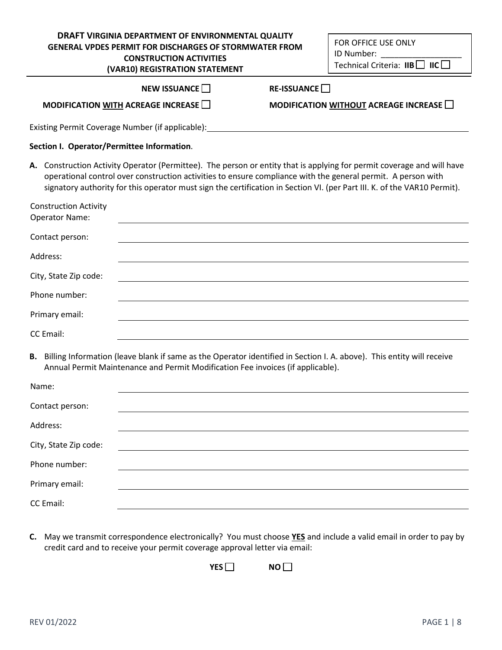# **DRAFT VIRGINIA DEPARTMENT OF ENVIRONMENTAL QUALITY GENERAL VPDES PERMIT FOR DISCHARGES OF STORMWATER FROM CONSTRUCTION ACTIVITIES**

FOR OFFICE USE ONLY ID Number: \_\_\_\_\_\_\_\_\_\_\_\_\_\_\_\_\_\_ Technical Criteria: **IIB** ☐ **IIC** ☐

|                                                       | (VAR10) REGISTRATION STATEMENT                                                                                                                                                                                                                                                                                                                                     |                            | Technical Criteria: $IIB \Box$ IIC $\Box$          |
|-------------------------------------------------------|--------------------------------------------------------------------------------------------------------------------------------------------------------------------------------------------------------------------------------------------------------------------------------------------------------------------------------------------------------------------|----------------------------|----------------------------------------------------|
|                                                       | NEW ISSUANCE $\Box$                                                                                                                                                                                                                                                                                                                                                | RE-ISSUANCE <sup>[1]</sup> |                                                    |
|                                                       | MODIFICATION WITH ACREAGE INCREASE                                                                                                                                                                                                                                                                                                                                 |                            | MODIFICATION WITHOUT ACREAGE INCREASE MODIFICATION |
|                                                       | Existing Permit Coverage Number (if applicable): National Communication of the Coverage of the Coverage Number                                                                                                                                                                                                                                                     |                            |                                                    |
| Section I. Operator/Permittee Information.            |                                                                                                                                                                                                                                                                                                                                                                    |                            |                                                    |
|                                                       | A. Construction Activity Operator (Permittee). The person or entity that is applying for permit coverage and will have<br>operational control over construction activities to ensure compliance with the general permit. A person with<br>signatory authority for this operator must sign the certification in Section VI. (per Part III. K. of the VAR10 Permit). |                            |                                                    |
| <b>Construction Activity</b><br><b>Operator Name:</b> |                                                                                                                                                                                                                                                                                                                                                                    |                            |                                                    |
| Contact person:                                       |                                                                                                                                                                                                                                                                                                                                                                    |                            |                                                    |
| Address:                                              |                                                                                                                                                                                                                                                                                                                                                                    |                            |                                                    |
| City, State Zip code:                                 |                                                                                                                                                                                                                                                                                                                                                                    |                            |                                                    |
| Phone number:                                         |                                                                                                                                                                                                                                                                                                                                                                    |                            |                                                    |
| Primary email:                                        |                                                                                                                                                                                                                                                                                                                                                                    |                            |                                                    |
| <b>CC</b> Email:                                      |                                                                                                                                                                                                                                                                                                                                                                    |                            |                                                    |
|                                                       | B. Billing Information (leave blank if same as the Operator identified in Section I. A. above). This entity will receive<br>Annual Permit Maintenance and Permit Modification Fee invoices (if applicable).                                                                                                                                                        |                            |                                                    |
| Name:                                                 |                                                                                                                                                                                                                                                                                                                                                                    |                            |                                                    |
| Contact person:                                       |                                                                                                                                                                                                                                                                                                                                                                    |                            |                                                    |
| Address:                                              |                                                                                                                                                                                                                                                                                                                                                                    |                            |                                                    |
| City, State Zip code:                                 |                                                                                                                                                                                                                                                                                                                                                                    |                            |                                                    |
| Phone number:                                         |                                                                                                                                                                                                                                                                                                                                                                    |                            |                                                    |
| Primary email:                                        |                                                                                                                                                                                                                                                                                                                                                                    |                            |                                                    |
| CC Email:                                             |                                                                                                                                                                                                                                                                                                                                                                    |                            |                                                    |

**C.** May we transmit correspondence electronically? You must choose **YES** and include a valid email in order to pay by credit card and to receive your permit coverage approval letter via email:

**YES NO** ■

 $\overline{a}$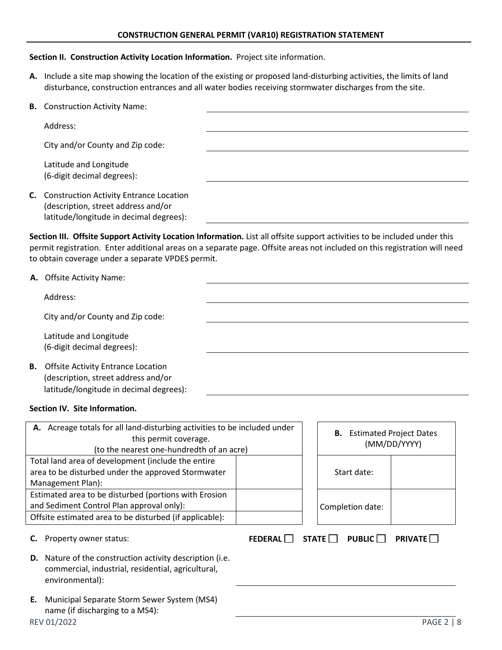#### **CONSTRUCTION GENERAL PERMIT (VAR10) REGISTRATION STATEMENT**

#### **Section II. Construction Activity Location Information.** Project site information.

**A.** Include a site map showing the location of the existing or proposed land-disturbing activities, the limits of land disturbance, construction entrances and all water bodies receiving stormwater discharges from the site.

| <b>B.</b> Construction Activity Name:                                                                                        |  |
|------------------------------------------------------------------------------------------------------------------------------|--|
| Address:                                                                                                                     |  |
| City and/or County and Zip code:                                                                                             |  |
| Latitude and Longitude<br>(6-digit decimal degrees):                                                                         |  |
| C. Construction Activity Entrance Location<br>(description, street address and/or<br>latitude/longitude in decimal degrees): |  |

**Section III. Offsite Support Activity Location Information.** List all offsite support activities to be included under this permit registration. Enter additional areas on a separate page. Offsite areas not included on this registration will need to obtain coverage under a separate VPDES permit.

| A. Offsite Activity Name: |
|---------------------------|
|                           |

Address:

City and/or County and Zip code:

Latitude and Longitude (6-digit decimal degrees):

**B.** Offsite Activity Entrance Location (description, street address and/or latitude/longitude in decimal degrees):

#### **Section IV. Site Information.**

| A. Acreage totals for all land-disturbing activities to be included under<br>this permit coverage.<br>(to the nearest one-hundredth of an acre)               |  |                                           | <b>B.</b> Estimated Project Dates<br>(MM/DD/YYYY) |
|---------------------------------------------------------------------------------------------------------------------------------------------------------------|--|-------------------------------------------|---------------------------------------------------|
| Total land area of development (include the entire<br>area to be disturbed under the approved Stormwater<br>Management Plan):                                 |  | Start date:                               |                                                   |
| Estimated area to be disturbed (portions with Erosion<br>and Sediment Control Plan approval only):<br>Offsite estimated area to be disturbed (if applicable): |  | Completion date:                          |                                                   |
| Property owner status:<br>C.                                                                                                                                  |  | FEDERAL $\Box$ STATE $\Box$ PUBLIC $\Box$ | <b>PRIVATE</b>                                    |
| <b>D.</b> Nature of the construction activity description (i.e.<br>commercial, industrial, residential, agricultural,<br>environmental):                      |  |                                           |                                                   |
| Municipal Separate Storm Sewer System (MS4)<br>Е.<br>name (if discharging to a MS4):                                                                          |  |                                           |                                                   |
| REV 01/2022                                                                                                                                                   |  |                                           | <b>PAGE 2   8</b>                                 |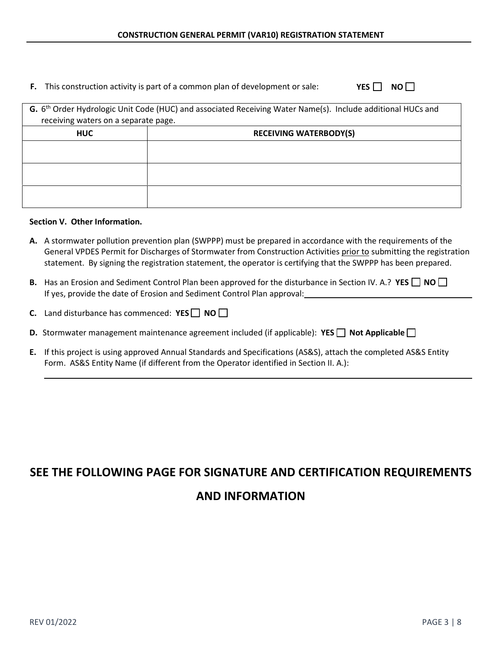# **F.** This construction activity is part of a common plan of development or sale: **YES** □ **NO** □

| G. 6 <sup>th</sup> Order Hydrologic Unit Code (HUC) and associated Receiving Water Name(s). Include additional HUCs and |                               |  |
|-------------------------------------------------------------------------------------------------------------------------|-------------------------------|--|
| receiving waters on a separate page.                                                                                    |                               |  |
| <b>HUC</b>                                                                                                              | <b>RECEIVING WATERBODY(S)</b> |  |
|                                                                                                                         |                               |  |
|                                                                                                                         |                               |  |
|                                                                                                                         |                               |  |
|                                                                                                                         |                               |  |
|                                                                                                                         |                               |  |
|                                                                                                                         |                               |  |

#### **Section V. Other Information.**

- **A.** A stormwater pollution prevention plan (SWPPP) must be prepared in accordance with the requirements of the General VPDES Permit for Discharges of Stormwater from Construction Activities prior to submitting the registration statement. By signing the registration statement, the operator is certifying that the SWPPP has been prepared.
- **B.** Has an Erosion and Sediment Control Plan been approved for the disturbance in Section IV. A.? YES □ NO □ If yes, provide the date of Erosion and Sediment Control Plan approval:
- **C.** Land disturbance has commenced: **YES** ☐ **NO** ☐
- **D.** Stormwater management maintenance agreement included (if applicable): **YES** □ Not Applicable □
- **E.** If this project is using approved Annual Standards and Specifications (AS&S), attach the completed AS&S Entity Form. AS&S Entity Name (if different from the Operator identified in Section II. A.):

# **SEE THE FOLLOWING PAGE FOR SIGNATURE AND CERTIFICATION REQUIREMENTS AND INFORMATION**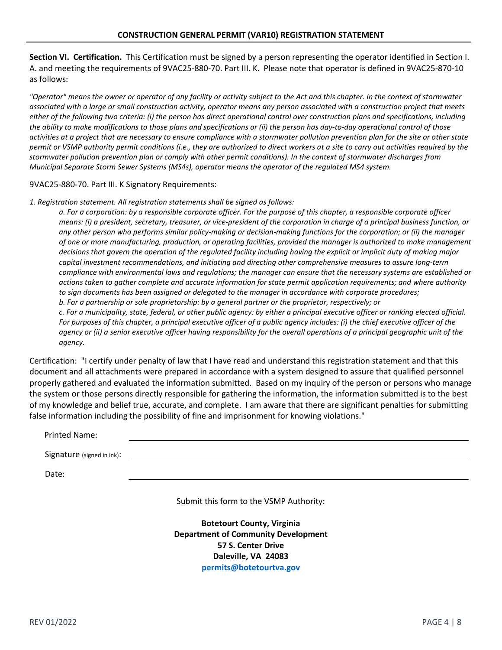**Section VI. Certification.** This Certification must be signed by a person representing the operator identified in Section I. A. and meeting the requirements of 9VAC25-880-70. Part III. K. Please note that operator is defined in 9VAC25-870-10 as follows:

*"Operator" means the owner or operator of any facility or activity subject to the Act and this chapter. In the context of stormwater associated with a large or small construction activity, operator means any person associated with a construction project that meets either of the following two criteria: (i) the person has direct operational control over construction plans and specifications, including the ability to make modifications to those plans and specifications or (ii) the person has day-to-day operational control of those activities at a project that are necessary to ensure compliance with a stormwater pollution prevention plan for the site or other state permit or VSMP authority permit conditions (i.e., they are authorized to direct workers at a site to carry out activities required by the stormwater pollution prevention plan or comply with other permit conditions). In the context of stormwater discharges from Municipal Separate Storm Sewer Systems (MS4s), operator means the operator of the regulated MS4 system.*

9VAC25-880-70. Part III. K Signatory Requirements:

*1. Registration statement. All registration statements shall be signed as follows:*

*a. For a corporation: by a responsible corporate officer. For the purpose of this chapter, a responsible corporate officer means: (i) a president, secretary, treasurer, or vice-president of the corporation in charge of a principal business function, or any other person who performs similar policy-making or decision-making functions for the corporation; or (ii) the manager of one or more manufacturing, production, or operating facilities, provided the manager is authorized to make management decisions that govern the operation of the regulated facility including having the explicit or implicit duty of making major capital investment recommendations, and initiating and directing other comprehensive measures to assure long-term compliance with environmental laws and regulations; the manager can ensure that the necessary systems are established or actions taken to gather complete and accurate information for state permit application requirements; and where authority to sign documents has been assigned or delegated to the manager in accordance with corporate procedures; b. For a partnership or sole proprietorship: by a general partner or the proprietor, respectively; or c. For a municipality, state, federal, or other public agency: by either a principal executive officer or ranking elected official. For purposes of this chapter, a principal executive officer of a public agency includes: (i) the chief executive officer of the agency or (ii) a senior executive officer having responsibility for the overall operations of a principal geographic unit of the agency.*

Certification: "I certify under penalty of law that I have read and understand this registration statement and that this document and all attachments were prepared in accordance with a system designed to assure that qualified personnel properly gathered and evaluated the information submitted. Based on my inquiry of the person or persons who manage the system or those persons directly responsible for gathering the information, the information submitted is to the best of my knowledge and belief true, accurate, and complete. I am aware that there are significant penalties for submitting false information including the possibility of fine and imprisonment for knowing violations."

| <b>Printed Name:</b>       |  |
|----------------------------|--|
| Signature (signed in ink): |  |
| Date:                      |  |

Submit this form to the VSMP Authority:

**Botetourt County, Virginia Department of Community Development 57 S. Center Drive Daleville, VA 24083 [permits@botetourtva.gov](mailto:constructiongp@botetourtva.gov)**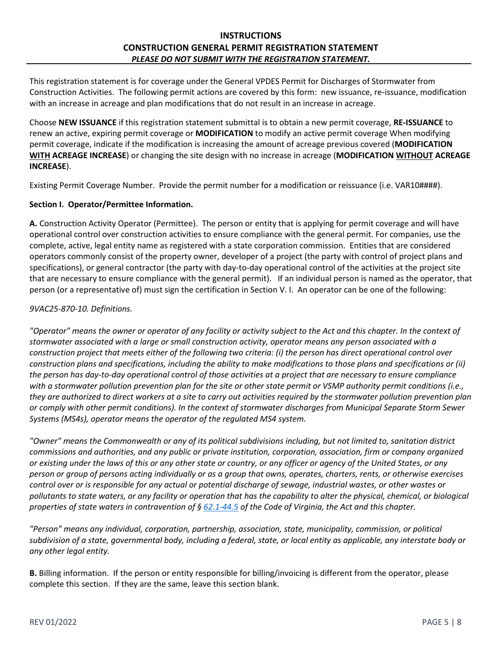This registration statement is for coverage under the General VPDES Permit for Discharges of Stormwater from Construction Activities. The following permit actions are covered by this form: new issuance, re-issuance, modification with an increase in acreage and plan modifications that do not result in an increase in acreage.

Choose **NEW ISSUANCE** if this registration statement submittal is to obtain a new permit coverage, **RE-ISSUANCE** to renew an active, expiring permit coverage or **MODIFICATION** to modify an active permit coverage When modifying permit coverage, indicate if the modification is increasing the amount of acreage previous covered (**MODIFICATION WITH ACREAGE INCREASE**) or changing the site design with no increase in acreage (**MODIFICATION WITHOUT ACREAGE INCREASE**).

Existing Permit Coverage Number. Provide the permit number for a modification or reissuance (i.e. VAR10####).

#### **Section I. Operator/Permittee Information.**

**A.** Construction Activity Operator (Permittee). The person or entity that is applying for permit coverage and will have operational control over construction activities to ensure compliance with the general permit. For companies, use the complete, active, legal entity name as registered with a state corporation commission. Entities that are considered operators commonly consist of the property owner, developer of a project (the party with control of project plans and specifications), or general contractor (the party with day-to-day operational control of the activities at the project site that are necessary to ensure compliance with the general permit). If an individual person is named as the operator, that person (or a representative of) must sign the certification in Section V. I. An operator can be one of the following:

#### *9VAC25-870-10. Definitions.*

*"Operator" means the owner or operator of any facility or activity subject to the Act and this chapter. In the context of stormwater associated with a large or small construction activity, operator means any person associated with a construction project that meets either of the following two criteria: (i) the person has direct operational control over construction plans and specifications, including the ability to make modifications to those plans and specifications or (ii) the person has day-to-day operational control of those activities at a project that are necessary to ensure compliance with a stormwater pollution prevention plan for the site or other state permit or VSMP authority permit conditions (i.e., they are authorized to direct workers at a site to carry out activities required by the stormwater pollution prevention plan or comply with other permit conditions). In the context of stormwater discharges from Municipal Separate Storm Sewer Systems (MS4s), operator means the operator of the regulated MS4 system.*

*"Owner" means the Commonwealth or any of its political subdivisions including, but not limited to, sanitation district commissions and authorities, and any public or private institution, corporation, association, firm or company organized or existing under the laws of this or any other state or country, or any officer or agency of the United States, or any person or group of persons acting individually or as a group that owns, operates, charters, rents, or otherwise exercises control over or is responsible for any actual or potential discharge of sewage, industrial wastes, or other wastes or pollutants to state waters, or any facility or operation that has the capability to alter the physical, chemical, or biological properties of state waters in contravention of § [62.1-44.5](http://law.lis.virginia.gov/vacode/62.1-44.5/) of the Code of Virginia, the Act and this chapter.*

*"Person" means any individual, corporation, partnership, association, state, municipality, commission, or political subdivision of a state, governmental body, including a federal, state, or local entity as applicable, any interstate body or any other legal entity.*

**B.** Billing information. If the person or entity responsible for billing/invoicing is different from the operator, please complete this section. If they are the same, leave this section blank.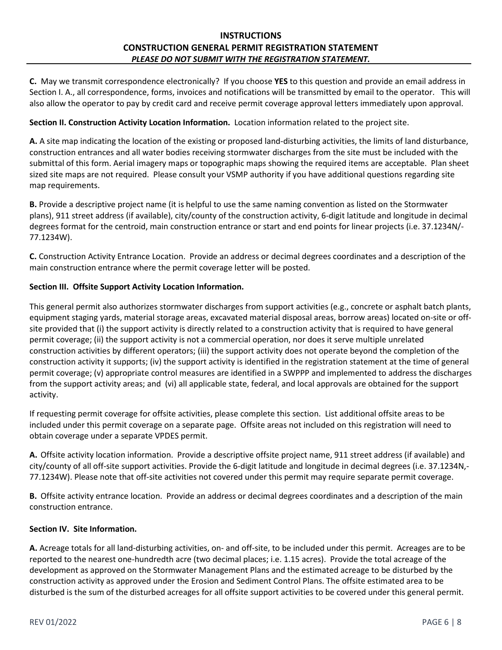**C.** May we transmit correspondence electronically? If you choose **YES** to this question and provide an email address in Section I. A., all correspondence, forms, invoices and notifications will be transmitted by email to the operator. This will also allow the operator to pay by credit card and receive permit coverage approval letters immediately upon approval.

#### **Section II. Construction Activity Location Information.** Location information related to the project site.

**A.** A site map indicating the location of the existing or proposed land-disturbing activities, the limits of land disturbance, construction entrances and all water bodies receiving stormwater discharges from the site must be included with the submittal of this form. Aerial imagery maps or topographic maps showing the required items are acceptable. Plan sheet sized site maps are not required. Please consult your VSMP authority if you have additional questions regarding site map requirements.

**B.** Provide a descriptive project name (it is helpful to use the same naming convention as listed on the Stormwater plans), 911 street address (if available), city/county of the construction activity, 6-digit latitude and longitude in decimal degrees format for the centroid, main construction entrance or start and end points for linear projects (i.e. 37.1234N/- 77.1234W).

**C.** Construction Activity Entrance Location. Provide an address or decimal degrees coordinates and a description of the main construction entrance where the permit coverage letter will be posted.

#### **Section III. Offsite Support Activity Location Information.**

This general permit also authorizes stormwater discharges from support activities (e.g., concrete or asphalt batch plants, equipment staging yards, material storage areas, excavated material disposal areas, borrow areas) located on-site or offsite provided that (i) the support activity is directly related to a construction activity that is required to have general permit coverage; (ii) the support activity is not a commercial operation, nor does it serve multiple unrelated construction activities by different operators; (iii) the support activity does not operate beyond the completion of the construction activity it supports; (iv) the support activity is identified in the registration statement at the time of general permit coverage; (v) appropriate control measures are identified in a SWPPP and implemented to address the discharges from the support activity areas; and (vi) all applicable state, federal, and local approvals are obtained for the support activity.

If requesting permit coverage for offsite activities, please complete this section. List additional offsite areas to be included under this permit coverage on a separate page. Offsite areas not included on this registration will need to obtain coverage under a separate VPDES permit.

**A.** Offsite activity location information. Provide a descriptive offsite project name, 911 street address (if available) and city/county of all off-site support activities. Provide the 6-digit latitude and longitude in decimal degrees (i.e. 37.1234N,- 77.1234W). Please note that off-site activities not covered under this permit may require separate permit coverage.

**B.** Offsite activity entrance location. Provide an address or decimal degrees coordinates and a description of the main construction entrance.

#### **Section IV. Site Information.**

**A.** Acreage totals for all land-disturbing activities, on- and off-site, to be included under this permit. Acreages are to be reported to the nearest one-hundredth acre (two decimal places; i.e. 1.15 acres). Provide the total acreage of the development as approved on the Stormwater Management Plans and the estimated acreage to be disturbed by the construction activity as approved under the Erosion and Sediment Control Plans. The offsite estimated area to be disturbed is the sum of the disturbed acreages for all offsite support activities to be covered under this general permit.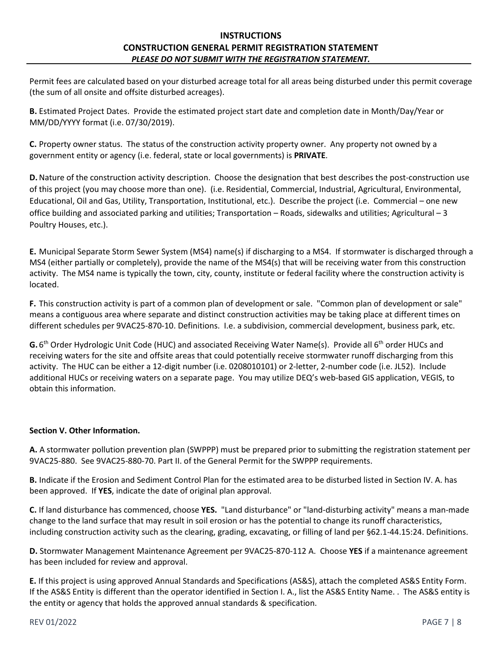Permit fees are calculated based on your disturbed acreage total for all areas being disturbed under this permit coverage (the sum of all onsite and offsite disturbed acreages).

**B.** Estimated Project Dates. Provide the estimated project start date and completion date in Month/Day/Year or MM/DD/YYYY format (i.e. 07/30/2019).

**C.** Property owner status. The status of the construction activity property owner. Any property not owned by a government entity or agency (i.e. federal, state or local governments) is **PRIVATE**.

**D.**Nature of the construction activity description. Choose the designation that best describes the post-construction use of this project (you may choose more than one). (i.e. Residential, Commercial, Industrial, Agricultural, Environmental, Educational, Oil and Gas, Utility, Transportation, Institutional, etc.). Describe the project (i.e. Commercial – one new office building and associated parking and utilities; Transportation – Roads, sidewalks and utilities; Agricultural – 3 Poultry Houses, etc.).

**E.** Municipal Separate Storm Sewer System (MS4) name(s) if discharging to a MS4. If stormwater is discharged through a MS4 (either partially or completely), provide the name of the MS4(s) that will be receiving water from this construction activity. The MS4 name is typically the town, city, county, institute or federal facility where the construction activity is located.

**F.** This construction activity is part of a common plan of development or sale. "Common plan of development or sale" means a contiguous area where separate and distinct construction activities may be taking place at different times on different schedules per 9VAC25-870-10. Definitions. I.e. a subdivision, commercial development, business park, etc.

**G.** 6<sup>th</sup> Order Hydrologic Unit Code (HUC) and associated Receiving Water Name(s). Provide all 6<sup>th</sup> order HUCs and receiving waters for the site and offsite areas that could potentially receive stormwater runoff discharging from this activity. The HUC can be either a 12-digit number (i.e. 0208010101) or 2-letter, 2-number code (i.e. JL52). Include additional HUCs or receiving waters on a separate page. You may utilize DEQ's web-based GIS application, VEGIS, to obtain this information.

#### **Section V. Other Information.**

**A.** A stormwater pollution prevention plan (SWPPP) must be prepared prior to submitting the registration statement per 9VAC25-880. See 9VAC25-880-70. Part II. of the General Permit for the SWPPP requirements.

**B.** Indicate if the Erosion and Sediment Control Plan for the estimated area to be disturbed listed in Section IV. A. has been approved. If **YES**, indicate the date of original plan approval.

**C.** If land disturbance has commenced, choose **YES.** "Land disturbance" or "land-disturbing activity" means a man-made change to the land surface that may result in soil erosion or has the potential to change its runoff characteristics, including construction activity such as the clearing, grading, excavating, or filling of land per §62.1-44.15:24. Definitions.

**D.** Stormwater Management Maintenance Agreement per 9VAC25-870-112 A. Choose **YES** if a maintenance agreement has been included for review and approval.

**E.** If this project is using approved Annual Standards and Specifications (AS&S), attach the completed AS&S Entity Form. If the AS&S Entity is different than the operator identified in Section I. A., list the AS&S Entity Name. . The AS&S entity is the entity or agency that holds the approved annual standards & specification.